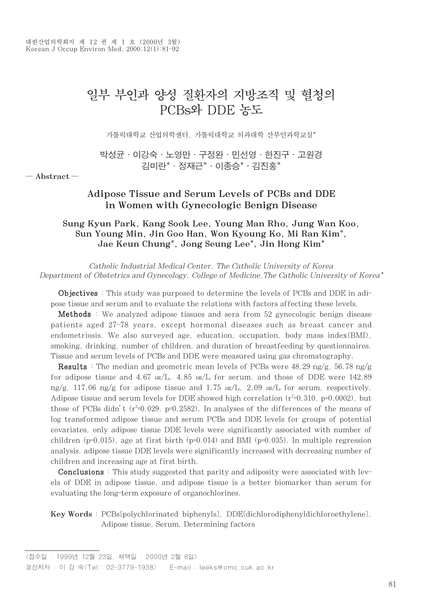# 일부 부인과 양성 질환자의 지방조직 및 혈청의 PCBs와 DDE 농도

가톨릭대학교 산업의학센터, 가톨릭대학교 의과대학 산부인과학교실\*

박성균∙이강숙∙노영만∙구정완∙민선영∙한진구∙고원경 김미란\*∙정재근\*∙이종승\*∙김진홍\*

─ Abstract ─

# Adipose Tissue and Serum Levels of PCBs and DDE in Women with Gynecologic Benign Disease

# Sung Kyun Park, Kang Sook Lee, Young Man Rho, Jung Wan Koo, Sun Young Min, Jin Goo Han, Won Kyoung Ko, Mi Ran Kim\*, Jae Keun Chung\*, Jong Seung Lee\*, Jin Hong Kim\*

Catholic Industrial Medical Center, The Catholic University of Korea Department of Obstetrics and Gynecology, College of Medicine,The Catholic University of Korea\*

Objectives : This study was purposed to determine the levels of PCBs and DDE in adipose tissue and serum and to evaluate the relations with factors affecting these levels.

Methods : We analyzed adipose tissues and sera from 52 gynecologic benign disease patients aged 27-78 years, except hormonal diseases such as breast cancer and endometriosis. We also surveyed age, education, occupation, body mass index(BMI), smoking, drinking, number of children, and duration of breastfeeding by questionnaires. Tissue and serum levels of PCBs and DDE were measured using gas chromatography.

**Results** : The median and geometric mean levels of PCBs were  $48.29 \text{ ng/g}$ ,  $56.78 \text{ ng/g}$ for adipose tissue and 4.67  $\mu$ s/L, 4.85  $\mu$ s/L for serum, and those of DDE were 142.89 ng/g, 117.06 ng/g for adipose tissue and 1.75  $\mu$ g/L, 2.09  $\mu$ g/L for serum, respectively. Adipose tissue and serum levels for DDE showed high correlation  $(r^2=0.310, p=0.0002)$ , but those of PCBs didn't  $(r^2=0.029, p=0.2582)$ . In analyses of the differences of the means of log transformed adipose tissue and serum PCBs and DDE levels for groups of potential covariates, only adipose tissue DDE levels were significantly associated with number of children ( $p=0.015$ ), age at first birth ( $p=0.014$ ) and BMI ( $p=0.035$ ). In multiple regression analysis, adipose tissue DDE levels were significantly increased with decreasing number of children and increasing age at first birth.

Conclusions : This study suggested that parity and adiposity were associated with levels of DDE in adipose tissue, and adipose tissue is a better biomarker than serum for evaluating the long-term exposure of organochlorines.

Key Words : PCBs[polychlorinated biphenyls], DDE[dichlorodiphenyldichloroethylene], Adipose tissue, Serum, Determining factors

<sup>&</sup>lt;접수일 : 1999년 12월 23일, 채택일 : 2000년 2월 8일> 교신저자 : 이 강 숙(Tel : 02-3779-1938) E-mail : leeks@cmc.cuk.ac.kr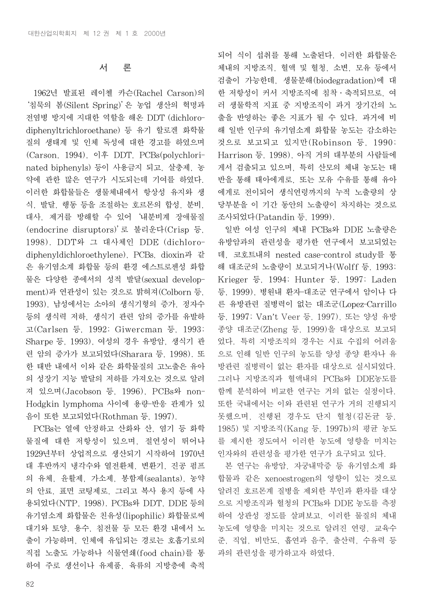## 서 론

1962년 발표된 레이첼 카슨(Rachel Carson)의 '침묵의 봄(Silent Spring)'은 농업 생산의 혁명과 전염병 방지에 지대한 역할을 해온 DDT (dichlorodiphenyltrichloroethane) 등 유기 할로겐 화학물 질의 생태계 및 인체 독성에 대한 경고를 하였으며 (Carson, 1994), 이후 DDT, PCBs(polychlorinated biphenyls) 등이 사용금지 되고, 살충제, 농 약에 관한 많은 연구가 시도되는데 기여를 하였다. 이러한 화합물들은 생물체내에서 항상성 유지와 생 식, 발달, 행동 등을 조절하는 호르몬의 합성, 분비, 대사, 제거를 방해할 수 있어'내분비계 장애물질 (endocrine disruptors)'로 불리운다(Crisp 등, 1998). DDT와 그 대사체인 DDE (dichlorodiphenyldichloroethylene), PCBs, dioxin과 같 은 유기염소계 화합물 등의 환경 에스트로젠성 화합 물은 다양한 종에서의 성적 발달(sexual development)과 연관성이 있는 것으로 밝혀져(Colborn 등, 1993), 남성에서는 소아의 생식기형의 증가, 정자수 등의 생식력 저하, 생식기 관련 암의 증가를 유발하 고(Carlsen 등, 1992; Giwercman 등, 1993; Sharpe 등, 1993), 여성의 경우 유방암, 생식기 관 련 암의 증가가 보고되었다(Sharara 등, 1998). 또 한 태반 내에서 이와 같은 화학물질의 고노출은 유아 의 성장기 지능 발달의 저하를 가져오는 것으로 알려 져 있으며(Jacobson 등, 1996), PCBs와 non-Hodgkin lymphoma 사이에 용량-반응 관계가 있 음이 또한 보고되었다(Rothman 등, 1997).

PCBs는 열에 안정하고 산화와 산, 염기 등 화학 물질에 대한 저항성이 있으며, 절연성이 뛰어나 1929년부터 상업적으로 생산되기 시작하여 1970년 대 후반까지 냉각수와 열전환체, 변환기, 진공 펌프 의 유체, 윤활제, 가소제, 봉함제(sealants), 농약 의 안료, 표면 코팅제로, 그리고 복사 용지 등에 사 용되었다(NTP, 1998). PCBs와 DDT, DDE 등의 유기염소계 화합물은 친유성(lipophilic) 화합물로써 대기와 토양, 용수, 침전물 등 모든 환경 내에서 노 출이 가능하며, 인체에 유입되는 경로는 호흡기로의 직접 노출도 가능하나 식물연쇄(food chain)를 통 하여 주로 생선이나 유제품, 육류의 지방층에 축적

되어 식이 섭취를 통해 노출된다. 이러한 화합물은 체내의 지방조직, 혈액 및 혈청, 소변, 모유 등에서 검출이 가능한데, 생물분해(biodegradation)에 대 한 저항성이 커서 지방조직에 침착∙축적되므로, 여 러 생물학적 지표 중 지방조직이 과거 장기간의 노 출을 반영하는 좋은 지표가 될 수 있다. 과거에 비 해 일반 인구의 유기염소계 화합물 농도는 감소하는 것으로 보고되고 있지만(Robinson 등, 1990; Harrison 등, 1998), 아직 거의 대부분의 사람들에 게서 검출되고 있으며, 특히 산모의 체내 농도는 태 반을 통해 태아에게로, 또는 모유 수유를 통해 유아 에게로 전이되어 생식연령까지의 누적 노출량의 상 당부분을 이 기간 동안의 노출량이 차지하는 것으로 조사되었다(Patandin 등, 1999).

일반 여성 인구의 체내 PCBs와 DDE 노출량은 유방암과의 관련성을 평가한 연구에서 보고되었는 데, 코호트내의 nested case-control study를 통 해 대조군의 노출량이 보고되거나(Wolff 등, 1993; Krieger 등, 1994; Hunter 등, 1997; Laden 등, 1999), 병원내 환자-대조군 연구에서 암이나 다 른 유방관련 질병력이 없는 대조군(Lopez-Carrillo 등, 1997; Van't Veer 등, 1997), 또는 양성 유방 종양 대조군(Zheng 등, 1999)을 대상으로 보고되 었다. 특히 지방조직의 경우는 시료 수집의 어려움 으로 인해 일반 인구의 농도를 양성 종양 환자나 유 방관련 질병력이 없는 환자를 대상으로 실시되었다. 그러나 지방조직과 혈액내의 PCBs와 DDE농도를 함께 분석하여 비교한 연구는 거의 없는 실정이다. 또한 국내에서는 이와 관련된 연구가 거의 진행되지 못했으며, 진행된 경우도 단지 혈청(김돈균 등, 1985) 및 지방조직(Kang 등, 1997b)의 평균 농도 를 제시한 정도여서 이러한 농도에 영향을 미치는 인자와의 관련성을 평가한 연구가 요구되고 있다.

본 연구는 유방암, 자궁내막증 등 유기염소계 화 합물과 같은 xenoestrogen의 영향이 있는 것으로 알려진 호르몬계 질병을 제외한 부인과 환자를 대상 으로 지방조직과 혈청의 PCBs와 DDE 농도를 측정 하여 상관성 정도를 살펴보고, 이러한 물질의 체내 농도에 영향을 미치는 것으로 알려진 연령, 교육수 준, 직업, 비만도, 흡연과 음주, 출산력, 수유력 등 과의 관련성을 평가하고자 하였다.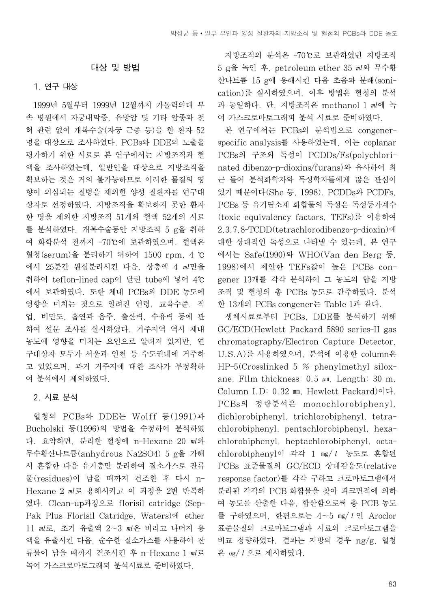#### 대상 및 방법

### 1. 연구 대상

1999년 5월부터 1999년 12월까지 가톨릭의대 부 속 병원에서 자궁내막증, 유방암 및 기타 암종과 전 혀 관련 없이 개복수술(자궁 근종 등)을 한 환자 52 명을 대상으로 조사하였다. PCBs와 DDE의 노출을 평가하기 위한 시료로 본 연구에서는 지방조직과 혈 액을 조사하였는데, 일반인을 대상으로 지방조직을 확보하는 것은 거의 불가능하므로 이러한 물질의 영 향이 의심되는 질병을 제외한 양성 질환자를 연구대 상자로 선정하였다. 지방조직을 확보하지 못한 환자 한 명을 제외한 지방조직 51개와 혈액 52개의 시료 를 분석하였다. 개복수술동안 지방조직 5 g을 취하 여 화학분석 전까지 -70℃에 보관하였으며, 혈액은 혈청(serum)을 분리하기 위하여 1500 rpm, 4 ℃ 에서 25분간 원심분리시킨 다음, 상층액 4 ㎖만을 취하여 teflon-lined cap이 달린 tube에 넣어 4℃ 에서 보관하였다. 또한 체내 PCBs와 DDE 농도에 영향을 미치는 것으로 알려진 연령, 교육수준, 직 업, 비만도, 흡연과 음주, 출산력, 수유력 등에 관 하여 설문 조사를 실시하였다. 거주지역 역시 체내 농도에 영향을 미치는 요인으로 알려져 있지만, 연 구대상자 모두가 서울과 인천 등 수도권내에 거주하 고 있었으며, 과거 거주지에 대한 조사가 부정확하 여 분석에서 제외하였다.

#### 2. 시료 분석

혈청의 PCBs와 DDE는 Wolff 등(1991)과 Bucholski 등(1996)의 방법을 수정하여 분석하였 다. 요약하면, 분리한 혈청에 n-Hexane 20 ㎖와 무수황산나트륨(anhydrous Na2SO4) 5 g을 가해 서 혼합한 다음 유기층만 분리하여 질소가스로 잔류 물(residues)이 남을 때까지 건조한 후 다시 n-Hexane 2 ㎖로 용해시키고 이 과정을 2번 반복하 였다. Clean-up과정으로 florisil catridge (Sep-Pak Plus Florisil Catridge, Waters)에 ether 11 ㎖로, 초기 유출액 2�3 ㎖은 버리고 나머지 용 액을 유출시킨 다음, 순수한 질소가스를 사용하여 잔 류물이 남을 때까지 건조시킨 후 n-Hexane 1 ㎖로 녹여 가스크로마토그래피 분석시료로 준비하였다.

지방조직의 분석은 -70℃로 보관하였던 지방조직 5 g을 녹인 후, petroleum ether 35 ㎖와 무수황 산나트륨 15 g에 용해시킨 다음 초음파 분해(sonication)를 실시하였으며, 이후 방법은 혈청의 분석 과 동일하다. 단, 지방조직은 methanol 1 ㎖에 녹 여 가스크로마토그래피 분석 시료로 준비하였다.

본 연구에서는 PCBs의 분석법으로 congenerspecific analysis를 사용하였는데, 이는 coplanar PCBs의 구조와 독성이 PCDDs/Fs(polychlorinated dibenzo-p-dioxins/furans)와 유사하여 최 근 들어 분석화학자와 독성학자들에게 많은 관심이 있기 때문이다(She 등, 1998). PCDDs와 PCDFs, PCBs 등 유기염소계 화합물의 독성은 독성등가계수 (toxic equivalency factors, TEFs)를 이용하여 2,3,7,8-TCDD(tetrachlorodibenzo-p-dioxin)에 대한 상대적인 독성으로 나타낼 수 있는데, 본 연구 에서는 Safe(1990)와 WHO(Van den Berg 등, 1998)에서 제안한 TEFs값이 높은 PCBs congener 13개를 각각 분석하여 그 농도의 합을 지방 조직 및 혈청의 총 PCBs 농도로 간주하였다. 분석 한 13개의 PCBs congener는 Table 1과 같다.

생체시료로부터 PCBs, DDE를 분석하기 위해 GC/ECD(Hewlett Packard 5890 series-II gas chromatography/Electron Capture Detector, U.S.A)를 사용하였으며, 분석에 이용한 column은 HP-5(Crosslinked 5 % phenylmethyl siloxane, Film thickness: 0.5  $\mu$ m, Length: 30 m, Column I.D: 0.32 ㎜, Hewlett Packard)이다. PCBs의 정량분석은 monochlorobiphenyl, dichlorobiphenyl, trichlorobiphenyl, tetrachlorobiphenyl, pentachlorobiphenyl, hexachlorobiphenyl, heptachlorobiphenyl, octachlorobiphenyl이 각각 1 mg/l 농도로 혼합된 PCBs 표준물질의 GC/ECD 상대감응도(relative response factor)를 각각 구하고 크로마토그램에서 분리된 각각의 PCB 화합물을 찾아 피크면적에 의하 여 농도를 산출한 다음, 합산함으로써 총 PCB 농도 를 구하였으며, 한편으로는 4~5 ㎎/ℓ인 Aroclor 표준물질의 크로마토그램과 시료의 크로마토그램을 비교 정량하였다. 결과는 지방의 경우 ng/g, 혈청 은  $\mu$ g/ $l$ 으로 제시하였다.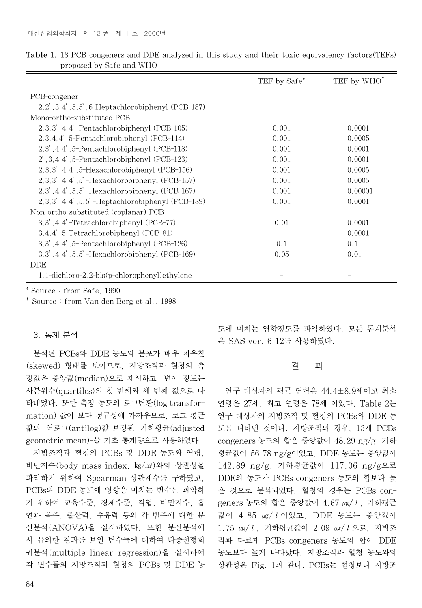|                                                         | TEF by Safe*      | TEF by WHO <sup>†</sup> |
|---------------------------------------------------------|-------------------|-------------------------|
| PCB-congener                                            |                   |                         |
| $2, 2', 3, 4', 5, 5', 6$ -Heptachlorobiphenyl (PCB-187) |                   |                         |
| Mono-ortho-substituted PCB                              |                   |                         |
| $2,3,3',4,4'$ -Pentachlorobiphenyl (PCB-105)            | 0.001             | 0.0001                  |
| $2,3,4,4$ ', 5-Pentachlorobiphenyl (PCB-114)            | 0.001             | 0.0005                  |
| 2,3, 4,4, 5-Pentachlorobiphenyl (PCB-118)               | 0.001             | 0.0001                  |
| $2, 3, 4, 4, 5$ -Pentachlorobiphenyl (PCB-123)          | 0.001             | 0.0001                  |
| $2,3,3',4,4',5$ -Hexachlorobiphenyl (PCB-156)           | 0.001             | 0.0005                  |
| $2,3,3',4,4',5'$ -Hexachlorobiphenyl (PCB-157)          | 0.001             | 0.0005                  |
| $2,3',4,4',5,5'$ -Hexachlorobiphenyl (PCB-167)          | 0.001             | 0.00001                 |
| $2,3,3',4,4',5,5'$ -Heptachlorobiphenyl (PCB-189)       | 0.001             | 0.0001                  |
| Non-ortho-substituted (coplanar) PCB                    |                   |                         |
| $3,3',4,4'$ -Tetrachlorobiphenyl (PCB-77)               | 0.01              | 0.0001                  |
| 3.4.4, 5-Tetrachlorobiphenyl (PCB-81)                   | $\qquad \qquad -$ | 0.0001                  |
| $3,3',4,4',5$ -Pentachlorobiphenyl (PCB-126)            | 0.1               | 0.1                     |
| $3,3',4,4',5,5'$ -Hexachlorobiphenyl (PCB-169)          | 0.05              | 0.01                    |
| <b>DDE</b>                                              |                   |                         |
| $1, 1$ -dichloro-2, 2-bis $(p$ -chlorophenyl) ethylene  |                   |                         |

Table 1. 13 PCB congeners and DDE analyzed in this study and their toxic equivalency factors(TEFs) proposed by Safe and WHO

\* Source : from Safe, 1990

� Source : from Van den Berg et al., 1998

## 3. 통계 분석

분석된 PCBs와 DDE 농도의 분포가 매우 치우친 (skewed) 형태를 보이므로, 지방조직과 혈청의 측 정값은 중앙값(median)으로 제시하고, 변이 정도는 사분위수(quartiles)의 첫 번째와 세 번째 값으로 나 타내었다. 또한 측정 농도의 로그변환(log transformation) 값이 보다 정규성에 가까우므로, 로그 평균 값의 역로그(antilog)값-보정된 기하평균(adjusted geometric mean)-을 기초 통계량으로 사용하였다.

지방조직과 혈청의 PCBs 및 DDE 농도와 연령, 비만지수(body mass index, ㎏/㎡)와의 상관성을 파악하기 위하여 Spearman 상관계수를 구하였고, PCBs와 DDE 농도에 영향을 미치는 변수를 파악하 기 위하여 교육수준, 경제수준, 직업, 비만지수, 흡 연과 음주, 출산력, 수유력 등의 각 범주에 대한 분 산분석(ANOVA)을 실시하였다. 또한 분산분석에 서 유의한 결과를 보인 변수들에 대하여 다중선형회 귀분석(multiple linear regression)을 실시하여 각 변수들의 지방조직과 혈청의 PCBs 및 DDE 농

도에 미치는 영향정도를 파악하였다. 모든 통계분석 은 SAS ver. 6.12를 사용하였다.

# 결 과

연구 대상자의 평균 연령은 44.4±8.9세이고 최소 연령은 27세, 최고 연령은 78세 이었다. Table 2는 연구 대상자의 지방조직 및 혈청의 PCBs와 DDE 농 도를 나타낸 것이다. 지방조직의 경우, 13개 PCBs congeners 농도의 합은 중앙값이 48.29 ng/g, 기하 평균값이 56.78 ng/g이었고, DDE 농도는 중앙값이 142.89 ng/g, 기하평균값이 117.06 ng/g으로 DDE의 농도가 PCBs congeners 농도의 합보다 높 은 것으로 분석되었다. 혈청의 경우는 PCBs congeners 농도의 합은 중앙값이  $4.67 \text{ }\mu\text{s}/l$ , 기하평균 값이 4.85 ㎍/ℓ이었고, DDE 농도는 중앙값이 1.75 ㎍/ℓ, 기하평균값이 2.09 ㎍/ℓ으로, 지방조 직과 다르게 PCBs congeners 농도의 합이 DDE 농도보다 높게 나타났다. 지방조직과 혈청 농도와의 상관성은 Fig. 1과 같다. PCBs는 혈청보다 지방조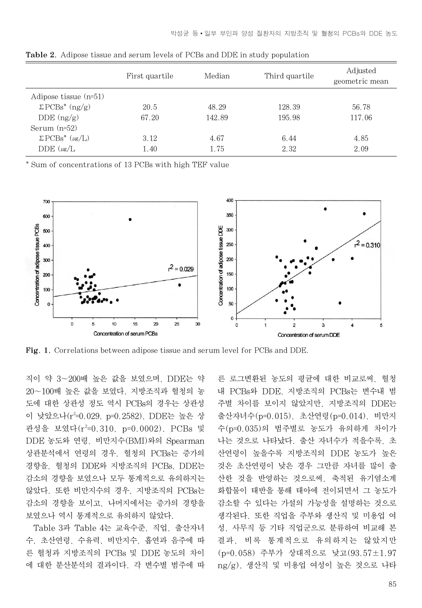|                          | First quartile | Median | Third quartile | Adjusted<br>geometric mean |
|--------------------------|----------------|--------|----------------|----------------------------|
| Adipose tissue $(n=51)$  |                |        |                |                            |
| $\Sigma PCBs^*$ (ng/g)   | 20.5           | 48.29  | 128.39         | 56.78                      |
| $DDE$ (ng/g)             | 67.20          | 142.89 | 195.98         | 117.06                     |
| Serum $(n=52)$           |                |        |                |                            |
| $\Sigma PCBs^*(\mu g/L)$ | 3.12           | 4.67   | 6.44           | 4.85                       |
| $DDE(\mu g/L)$           | 1.40           | 1.75   | 2.32           | 2.09                       |

Table 2. Adipose tissue and serum levels of PCBs and DDE in study population

\* Sum of concentrations of 13 PCBs with high TEF value



Fig. 1. Correlations between adipose tissue and serum level for PCBs and DDE.

직이 약 3�200배 높은 값을 보였으며, DDE는 약 20�100배 높은 값을 보였다. 지방조직과 혈청의 농 도에 대한 상관성 정도 역시 PCBs의 경우는 상관성 이 낮았으나(r<sup>2</sup>=0.029, p=0.2582), DDE는 높은 상 관성을 보였다(r<sup>2</sup>=0.310, p=0.0002). PCBs 및 DDE 농도와 연령, 비만지수(BMI)와의 Spearman 상관분석에서 연령의 경우, 혈청의 PCBs는 증가의 경향을, 혈청의 DDE와 지방조직의 PCBs, DDE는 감소의 경향을 보였으나 모두 통계적으로 유의하지는 않았다. 또한 비만지수의 경우, 지방조직의 PCBs는 감소의 경향을 보이고, 나머지에서는 증가의 경향을 보였으나 역시 통계적으로 유의하지 않았다.

Table 3과 Table 4는 교육수준, 직업, 출산자녀 수, 초산연령, 수유력, 비만지수, 흡연과 음주에 따 른 혈청과 지방조직의 PCBs 및 DDE 농도의 차이 에 대한 분산분석의 결과이다. 각 변수별 범주에 따

른 로그변환된 농도의 평균에 대한 비교로써, 혈청 내 PCBs와 DDE, 지방조직의 PCBs는 변수내 범 주별 차이를 보이지 않았지만, 지방조직의 DDE는 출산자녀수(p=0.015), 초산연령(p=0.014), 비만지 수(p=0.035)의 범주별로 농도가 유의하게 차이가 나는 것으로 나타났다. 출산 자녀수가 적을수록, 초 산연령이 높을수록 지방조직의 DDE 농도가 높은 것은 초산연령이 낮은 경우 그만큼 자녀를 많이 출 산한 것을 반영하는 것으로써, 축적된 유기염소계 화합물이 태반을 통해 태아에 전이되면서 그 농도가 감소할 수 있다는 가설의 가능성을 설명하는 것으로 생각된다. 또한 직업을 주부와 생산직 및 미용업 여 성, 사무직 등 기타 직업군으로 분류하여 비교해 본 결과, 비록 통계적으로 유의하지는 않았지만 (p=0.058) 주부가 상대적으로 낮고(93.57±1.97 ng/g), 생산직 및 미용업 여성이 높은 것으로 나타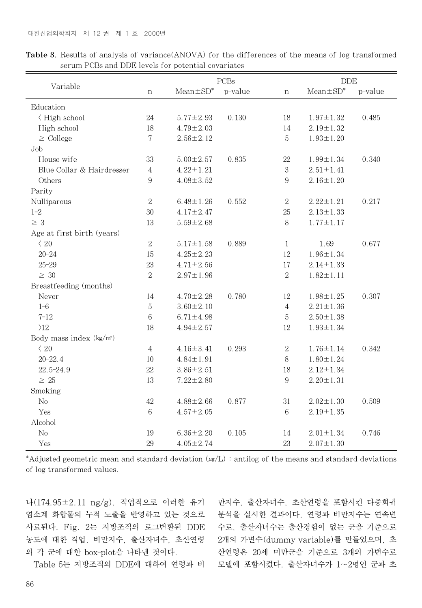|                            |                  | PCBs            |         |                  | <b>DDE</b>      |         |
|----------------------------|------------------|-----------------|---------|------------------|-----------------|---------|
| Variable                   | $\, {\rm n}$     | $Mean \pm SD^*$ | p-value | $\mathbf n$      | $Mean \pm SD^*$ | p-value |
| Education                  |                  |                 |         |                  |                 |         |
| < High school              | $24\,$           | $5.77 \pm 2.93$ | 0.130   | 18               | $1.97 \pm 1.32$ | 0.485   |
| High school                | 18               | $4.79 \pm 2.03$ |         | 14               | $2.19 \pm 1.32$ |         |
| $\geq$ College             | $\overline{7}$   | $2.56 \pm 2.12$ |         | $5\,$            | $1.93 \pm 1.20$ |         |
| Job                        |                  |                 |         |                  |                 |         |
| House wife                 | 33               | $5.00 \pm 2.57$ | 0.835   | 22               | $1.99 \pm 1.34$ | 0.340   |
| Blue Collar & Hairdresser  | $\overline{4}$   | $4.22 \pm 1.21$ |         | $\,3$            | $2.51 \pm 1.41$ |         |
| Others                     | $\boldsymbol{9}$ | $4.08 \pm 3.52$ |         | $\,9$            | $2.16 \pm 1.20$ |         |
| Parity                     |                  |                 |         |                  |                 |         |
| Nulliparous                | $\sqrt{2}$       | $6.48 \pm 1.26$ | 0.552   | $\sqrt{2}$       | $2.22 \pm 1.21$ | 0.217   |
| $1 - 2$                    | 30               | $4.17 \pm 2.47$ |         | 25               | $2.13 \pm 1.33$ |         |
| $\geq 3$                   | 13               | $5.59 \pm 2.68$ |         | $8\,$            | $1.77 \pm 1.17$ |         |
| Age at first birth (years) |                  |                 |         |                  |                 |         |
| $\langle 20$               | $\,2$            | $5.17 \pm 1.58$ | 0.889   | $\mathbf{1}$     | 1.69            | 0.677   |
| $20 - 24$                  | 15               | $4.25 \pm 2.23$ |         | 12               | $1.96 \pm 1.34$ |         |
| $25 - 29$                  | 23               | $4.71 \pm 2.56$ |         | 17               | $2.14 \pm 1.33$ |         |
| $\geq 30$                  | $\sqrt{2}$       | $2.97 \pm 1.96$ |         | $\,2$            | $1.82 \pm 1.11$ |         |
| Breastfeeding (months)     |                  |                 |         |                  |                 |         |
| Never                      | 14               | $4.70 \pm 2.28$ | 0.780   | 12               | $1.98 \pm 1.25$ | 0.307   |
| $1 - 6$                    | $5\,$            | $3.60 \pm 2.10$ |         | $\overline{4}$   | $2.21 \pm 1.36$ |         |
| $7 - 12$                   | $\,6$            | $6.71 \pm 4.98$ |         | $5\,$            | $2.50 \pm 1.38$ |         |
| $\overline{\Sigma}$        | 18               | $4.94 \pm 2.57$ |         | 12               | $1.93 \pm 1.34$ |         |
| Body mass index $(kg/m2)$  |                  |                 |         |                  |                 |         |
| $\langle 20$               | 4                | $4.16 \pm 3.41$ | 0.293   | $\sqrt{2}$       | $1.76 \pm 1.14$ | 0.342   |
| $20 - 22.4$                | 10               | $4.84 \pm 1.91$ |         | 8                | $1.80 \pm 1.24$ |         |
| 22.5-24.9                  | 22               | $3.86 \pm 2.51$ |         | 18               | $2.12 \pm 1.34$ |         |
| $\geq 25$                  | 13               | $7.22 \pm 2.80$ |         | $\boldsymbol{9}$ | $2.20 \pm 1.31$ |         |
| Smoking                    |                  |                 |         |                  |                 |         |
| No                         | 42               | $4.88 \pm 2.66$ | 0.877   | 31               | $2.02 \pm 1.30$ | 0.509   |
| Yes                        | $\,6$            | $4.57 \pm 2.05$ |         | $\,6$            | $2.19 \pm 1.35$ |         |
| Alcohol                    |                  |                 |         |                  |                 |         |
| No                         | 19               | $6.36 \pm 2.20$ | 0.105   | 14               | $2.01 \pm 1.34$ | 0.746   |
| Yes                        | 29               | $4.05 \pm 2.74$ |         | 23               | $2.07 \pm 1.30$ |         |

Table 3. Results of analysis of variance(ANOVA) for the differences of the means of log transformed serum PCBs and DDE levels for potential covariates

\*Adjusted geometric mean and standard deviation ( $\mu$ g/L) : antilog of the means and standard deviations of log transformed values.

나(174.95±2.11 ng/g), 직업적으로 이러한 유기 염소계 화합물의 누적 노출을 반영하고 있는 것으로 사료된다. Fig. 2는 지방조직의 로그변환된 DDE 농도에 대한 직업, 비만지수, 출산자녀수, 초산연령 의 각 군에 대한 box-plot을 나타낸 것이다.

Table 5는 지방조직의 DDE에 대하여 연령과 비

만지수, 출산자녀수, 초산연령을 포함시킨 다중회귀 분석을 실시한 결과이다. 연령과 비만지수는 연속변 수로, 출산자녀수는 출산경험이 없는 군을 기준으로 2개의 가변수(dummy variable)를 만들었으며, 초 산연령은 20세 미만군을 기준으로 3개의 가변수로 모델에 포함시켰다. 출산자녀수가 1�2명인 군과 초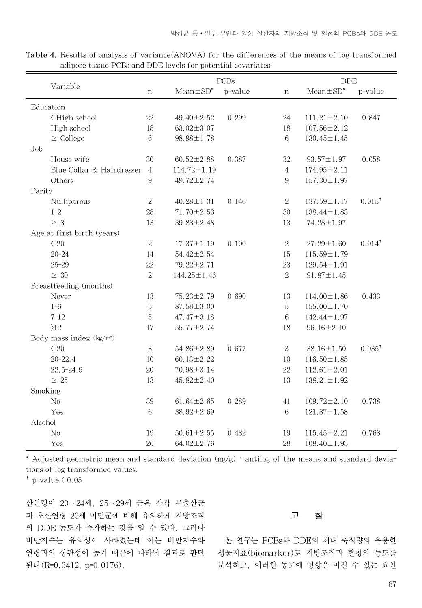|                           | PCBs                       |                |                   | <b>DDE</b> |                  |                   |           |
|---------------------------|----------------------------|----------------|-------------------|------------|------------------|-------------------|-----------|
| Variable                  |                            | $\,$ n         | $Mean \pm SD^*$   | p-value    | $\, {\rm n}$     | $Mean \pm SD^*$   | p-value   |
|                           | Education                  |                |                   |            |                  |                   |           |
|                           | √ High school              | 22             | $49.40 \pm 2.52$  | 0.299      | 24               | $111.21 \pm 2.10$ | 0.847     |
|                           | High school                | 18             | $63.02 \pm 3.07$  |            | 18               | $107.56 \pm 2.12$ |           |
|                           | $\geq$ College             | 6              | $98.98 \pm 1.78$  |            | 6                | $130.45 \pm 1.45$ |           |
| Job                       |                            |                |                   |            |                  |                   |           |
|                           | House wife                 | 30             | $60.52 \pm 2.88$  | 0.387      | 32               | $93.57 \pm 1.97$  | 0.058     |
|                           | Blue Collar & Hairdresser  | $\overline{4}$ | $114.72 \pm 1.19$ |            | $\overline{4}$   | $174.95 \pm 2.11$ |           |
|                           | Others                     | 9              | $49.72 \pm 2.74$  |            | 9                | $157.30 \pm 1.97$ |           |
| Parity                    |                            |                |                   |            |                  |                   |           |
|                           | Nulliparous                | $\,2$          | $40.28 \pm 1.31$  | 0.146      | $\boldsymbol{2}$ | $137.59 \pm 1.17$ | $0.015^*$ |
|                           | $1 - 2$                    | 28             | $71.70 \pm 2.53$  |            | 30               | $138.44 \pm 1.83$ |           |
|                           | $\geq 3$                   | 13             | $39.83 \pm 2.48$  |            | 13               | $74.28 \pm 1.97$  |           |
|                           | Age at first birth (years) |                |                   |            |                  |                   |           |
|                           | $\langle 20$               | $\sqrt{2}$     | $17.37 \pm 1.19$  | 0.100      | $\,2$            | $27.29 \pm 1.60$  | $0.014^*$ |
|                           | $20 - 24$                  | 14             | $54.42 \pm 2.54$  |            | 15               | $115.59 \pm 1.79$ |           |
|                           | $25 - 29$                  | 22             | $79.22 \pm 2.71$  |            | 23               | $129.54 \pm 1.91$ |           |
|                           | $\geq 30$                  | $\overline{2}$ | $144.25 \pm 1.46$ |            | $\sqrt{2}$       | $91.87 \pm 1.45$  |           |
|                           | Breastfeeding (months)     |                |                   |            |                  |                   |           |
|                           | Never                      | 13             | $75.23 \pm 2.79$  | 0.690      | 13               | $114.00 \pm 1.86$ | 0.433     |
|                           | $1 - 6$                    | $5\,$          | $87.58 \pm 3.00$  |            | $\mathbf 5$      | $155.00 \pm 1.70$ |           |
|                           | $7 - 12$                   | $\mathbf 5$    | $47.47 \pm 3.18$  |            | $\,6$            | $142.44 \pm 1.97$ |           |
|                           | $\overline{\Sigma}$        | 17             | $55.77 \pm 2.74$  |            | 18               | $96.16 \pm 2.10$  |           |
| Body mass index $(kg/m2)$ |                            |                |                   |            |                  |                   |           |
|                           | $\langle$ 20               | $\,3$          | $54.86 \pm 2.89$  | 0.677      | 3                | $38.16 \pm 1.50$  | $0.035^*$ |
|                           | $20 - 22.4$                | 10             | $60.13 \pm 2.22$  |            | 10               | $116.50 \pm 1.85$ |           |
|                           | $22.5 - 24.9$              | 20             | $70.98 \pm 3.14$  |            | $22\,$           | $112.61 \pm 2.01$ |           |
|                           | $\geq 25$                  | 13             | $45.82 \pm 2.40$  |            | 13               | $138.21 \pm 1.92$ |           |
| Smoking                   |                            |                |                   |            |                  |                   |           |
|                           | No                         | 39             | $61.64 \pm 2.65$  | 0.289      | 41               | $109.72 \pm 2.10$ | 0.738     |
|                           | Yes                        | 6              | $38.92 \pm 2.69$  |            | $\,6$            | $121.87 \pm 1.58$ |           |
| Alcohol                   |                            |                |                   |            |                  |                   |           |
|                           | No                         | 19             | $50.61 \pm 2.55$  | 0.432      | 19               | $115.45 \pm 2.21$ | 0.768     |
|                           | Yes                        | 26             | $64.02 \pm 2.76$  |            | 28               | $108.40 \pm 1.93$ |           |

Table 4. Results of analysis of variance(ANOVA) for the differences of the means of log transformed adipose tissue PCBs and DDE levels for potential covariates

\* Adjusted geometric mean and standard deviation (ng/g) : antilog of the means and standard deviations of log transformed values.

 $\sigma$  p-value  $\langle 0.05$ 

산연령이 20�24세, 25�29세 군은 각각 무출산군 과 초산연령 20세 미만군에 비해 유의하게 지방조직 의 DDE 농도가 증가하는 것을 알 수 있다. 그러나 비만지수는 유의성이 사라졌는데 이는 비만지수와 연령과의 상관성이 높기 때문에 나타난 결과로 판단 된다(R=0.3412, p=0.0176).

#### 고 찰

본 연구는 PCBs와 DDE의 체내 축적량의 유용한 생물지표(biomarker)로 지방조직과 혈청의 농도를 분석하고, 이러한 농도에 영향을 미칠 수 있는 요인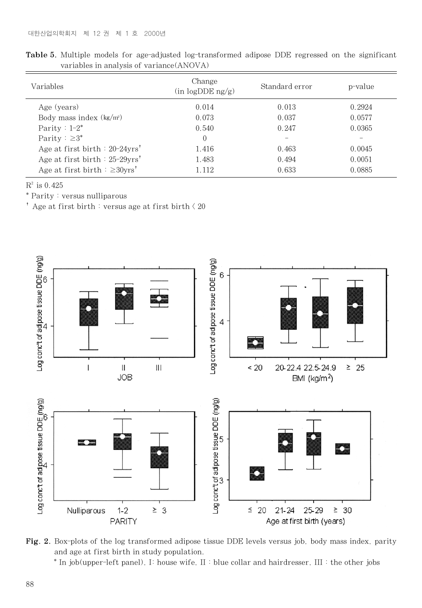| Variables                                       | Change<br>(in logDDE ng/g) | Standard error | p-value |
|-------------------------------------------------|----------------------------|----------------|---------|
| Age (years)                                     | 0.014                      | 0.013          | 0.2924  |
| Body mass index $(kg/m2)$                       | 0.073                      | 0.037          | 0.0577  |
| Parity : $1-2^*$                                | 0.540                      | 0.247          | 0.0365  |
| Parity : $\geq 3^*$                             | $\Omega$                   |                |         |
| Age at first birth : $20-24yrs'$                | 1.416                      | 0.463          | 0.0045  |
| Age at first birth : $25-29yrs'$                | 1.483                      | 0.494          | 0.0051  |
| Age at first birth $\approx$ 20yrs <sup>†</sup> | 1.112                      | 0.633          | 0.0885  |

Table 5. Multiple models for age-adjusted log-transformed adipose DDE regressed on the significant variables in analysis of variance(ANOVA)

 $R^2$  is 0.425

\* Parity : versus nulliparous

 $^{\rm t}$  Age at first birth  $\stackrel{\scriptscriptstyle +}{\scriptscriptstyle +}$  versus age at first birth  $\stackrel{\scriptscriptstyle +}{\scriptscriptstyle +}$  20



Fig. 2. Box-plots of the log transformed adipose tissue DDE levels versus job, body mass index, parity and age at first birth in study population.

\* In job(upper-left panel), I: house wife, II : blue collar and hairdresser, III : the other jobs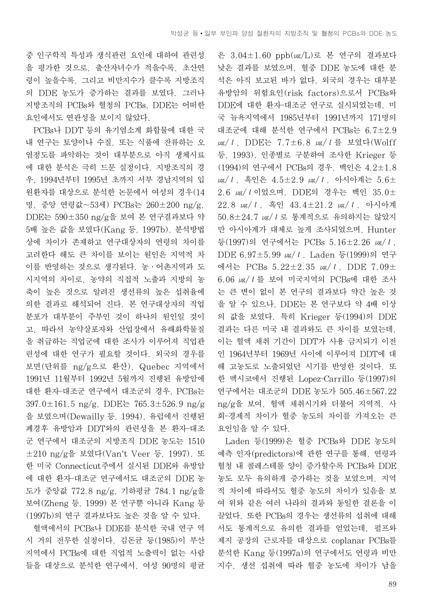중 인구학적 특성과 생식관련 요인에 대하여 관련성 을 평가한 것으로, 출산자녀수가 적을수록, 초산연 령이 높을수록, 그리고 비만지수가 클수록 지방조직 의 DDE 농도가 증가하는 결과를 보였다. 그러나 지방조직의 PCBs와 혈청의 PCBs, DDE는 어떠한 요인에서도 연관성을 보이지 않았다.

PCBs나 DDT 등의 유기염소계 화합물에 대한 국 내 연구는 토양이나 수질, 또는 식품에 잔류하는 오 염정도를 파악하는 것이 대부분으로 아직 생체시료 에 대한 분석은 극히 드문 실정이다. 지방조직의 경 우, 1994년부터 1995년 초까지 서부 경남지역의 입 원환자를 대상으로 분석한 논문에서 여성의 경우(14 명, 중앙 연령값~53세) PCBs는 260±200 ng/g, DDE는 590±350 ng/g을 보여 본 연구결과보다 약 5배 높은 값을 보였다(Kang 등, 1997b). 분석방법 상에 차이가 존재하고 연구대상자의 연령의 차이를 고려한다 해도 큰 차이를 보이는 원인은 지역적 차 이를 반영하는 것으로 생각된다. 농∙어촌지역과 도 시지역의 차이로, 농약의 직접적 노출과 지방의 농 축이 높은 것으로 알려진 생선류의 높은 섭취율에 의한 결과로 해석되어 진다. 본 연구대상자의 직업 분포가 대부분이 주부인 것이 하나의 원인일 것이 고, 따라서 농약살포자와 산업장에서 유해화학물질 을 취급하는 직업군에 대한 조사가 이루어져 직업관 련성에 대한 연구가 필요할 것이다. 외국의 경우를 보면(단위를 ng/g으로 환산), Quebec 지역에서 1991년 11월부터 1992년 5월까지 진행된 유방암에 대한 환자-대조군 연구에서 대조군의 경우, PCBs는 397.0±161.5 ng/g, DDE는 765.3±526.9 ng/g 을 보였으며(Dewailly 등, 1994), 유럽에서 진행된 폐경후 유방암과 DDT와의 관련성을 본 환자-대조 군 연구에서 대조군의 지방조직 DDE 농도는 1510 ±210 ng/g을 보였다(Van't Veer 등, 1997). 또 한 미국 Connecticut주에서 실시된 DDE와 유방암 에 대한 환자-대조군 연구에서도 대조군의 DDE 농 도가 중앙값 772.8 ng/g, 기하평균 784.1 ng/g을 보여(Zheng 등, 1999) 본 연구뿐 아니라 Kang 등 (1997b)의 연구 결과보다도 높은 것을 알 수 있다.

혈액에서의 PCBs나 DDE를 분석한 국내 연구 역 시 거의 전무한 실정이다. 김돈균 등(1985)이 부산 지역에서 PCBs에 대한 직업적 노출력이 없는 사람 들을 대상으로 분석한 연구에서, 여성 90명의 평균 은 3.04±1.60 ppb(㎍/L)로 본 연구의 결과보다 낮은 결과를 보였으며, 혈중 DDE 농도에 대한 분 석은 아직 보고된 바가 없다. 외국의 경우는 대부분 유방암의 위험요인(risk factors)으로서 PCBs와 DDE에 대한 환자-대조군 연구로 실시되었는데, 미 국 뉴욕지역에서 1985년부터 1991년까지 171명의 대조군에 대해 분석한 연구에서 PCBs는 6.7±2.9 μg/l, DDE는 7.7±6.8 μg/l를 보였다(Wolff 등, 1993). 인종별로 구분하여 조사한 Krieger 등 (1994)의 연구에서 PCBs의 경우, 백인은 4.2±1.8  $\mu$ g/l, 흑인은 4.5±2.9  $\mu$ g/l, 아시아계는 5.6± 2.6 ㎍/ℓ이었으며, DDE의 경우는 백인 35.0± 22.8 ㎍/ℓ, 흑인 43.4±21.2 ㎍/ℓ, 아시아계 50.8±24.7 ㎍/ℓ로 통계적으로 유의하지는 않았지 만 아시아계가 대체로 높게 조사되었으며, Hunter 등(1997)의 연구에서는 PCBs 5.16±2.26 ㎍/ℓ, DDE 6.97±5.99 ㎍/ℓ, Laden 등(1999)의 연구 에서는 PCBs 5.22±2.35 ㎍/ℓ, DDE 7.09± 6.06 ㎍/ℓ를 보여 미국지역의 PCBs에 대한 조사 는 큰 변이 없이 본 연구의 결과보다 약간 높은 것 을 알 수 있으나, DDE는 본 연구보다 약 4배 이상 의 값을 보였다. 특히 Krieger 등(1994)의 DDE 결과는 다른 미국 내 결과와도 큰 차이를 보였는데, 이는 혈액 채취 기간이 DDT가 사용 금지되기 이전 인 1964년부터 1969년 사이에 이루어져 DDT에 대 해 고농도로 노출되었던 시기를 반영한 것이다. 또 한 멕시코에서 진행된 Lopez-Carrillo 등(1997)의 연구에서는 대조군의 DDE 농도가 505.46±567.22 ng/g을 보여, 혈액 채취시기와 더불어 지역적, 사 회-경제적 차이가 혈중 농도의 차이를 가져오는 큰 요인임을 알 수 있다.

Laden 등(1999)은 혈중 PCBs와 DDE 농도의 예측 인자(predictors)에 관한 연구를 통해, 연령과 혈청 내 콜레스테롤 양이 증가할수록 PCBs와 DDE 농도 모두 유의하게 증가하는 것을 보였으며, 지역 적 차이에 따라서도 혈중 농도의 차이가 있음을 보 여 위와 같은 여러 나라의 결과와 동일한 결론을 이 끌었다. 또한 PCBs의 경우는 생선류의 섭취에 대해 서도 통계적으로 유의한 결과를 얻었는데, 펄프와 제지 공장의 근로자를 대상으로 coplanar PCBs를 분석한 Kang 등(1997a)의 연구에서도 연령과 비만 지수, 생선 섭취에 따라 혈중 농도에 차이가 남을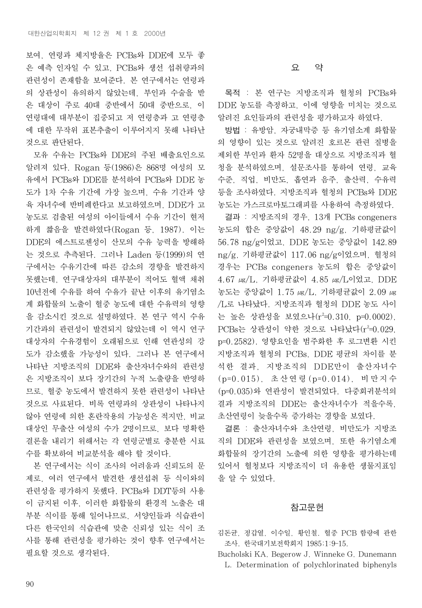보여, 연령과 체지방율은 PCBs와 DDE에 모두 좋 은 예측 인자일 수 있고, PCBs와 생선 섭취량과의 관련성이 존재함을 보여준다. 본 연구에서는 연령과 의 상관성이 유의하지 않았는데, 부인과 수술을 받 은 대상이 주로 40대 중반에서 50대 중반으로, 이 연령대에 대부분이 집중되고 저 연령층과 고 연령층 에 대한 무작위 표본추출이 이루어지지 못해 나타난 것으로 판단된다.

모유 수유는 PCBs와 DDE의 주된 배출요인으로 알려져 있다. Rogan 등(1986)은 868명 여성의 모 유에서 PCBs와 DDE를 분석하여 PCBs와 DDE 농 도가 1차 수유 기간에 가장 높으며, 수유 기간과 양 육 자녀수에 반비례한다고 보고하였으며, DDE가 고 농도로 검출된 여성의 아이들에서 수유 기간이 현저 하게 짧음을 발견하였다(Rogan 등, 1987). 이는 DDE의 에스트로젠성이 산모의 수유 능력을 방해하 는 것으로 추측된다. 그러나 Laden 등(1999)의 연 구에서는 수유기간에 따른 감소의 경향을 발견하지 못했는데, 연구대상자의 대부분이 적어도 혈액 채취 10년전에 수유를 하여 수유가 끝난 이후의 유기염소 계 화합물의 노출이 혈중 농도에 대한 수유력의 영향 을 감소시킨 것으로 설명하였다. 본 연구 역시 수유 기간과의 관련성이 발견되지 않았는데 이 역시 연구 대상자의 수유경험이 오래됨으로 인해 연관성의 강 도가 감소했을 가능성이 있다. 그러나 본 연구에서 나타난 지방조직의 DDE와 출산자녀수와의 관련성 은 지방조직이 보다 장기간의 누적 노출량을 반영하 므로, 혈중 농도에서 발견하지 못한 관련성이 나타난 것으로 사료된다. 비록 연령과의 상관성이 나타나지 않아 연령에 의한 혼란작용의 가능성은 적지만, 비교 대상인 무출산 여성의 수가 2명이므로, 보다 명확한 결론을 내리기 위해서는 각 연령군별로 충분한 시료 수를 확보하여 비교분석을 해야 할 것이다.

본 연구에서는 식이 조사의 어려움과 신뢰도의 문 제로, 여러 연구에서 발견한 생선섭취 등 식이와의 관련성을 평가하지 못했다. PCBs와 DDT등의 사용 이 금지된 이후, 이러한 화합물의 환경적 노출은 대 부분 식이를 통해 일어나므로, 서양인들과 식습관이 다른 한국인의 식습관에 맞춘 신뢰성 있는 식이 조 사를 통해 관련성을 평가하는 것이 향후 연구에서는 필요할 것으로 생각된다.

## 요 약

목적 : 본 연구는 지방조직과 혈청의 PCBs와 DDE 농도를 측정하고, 이에 영향을 미치는 것으로 알려진 요인들과의 관련성을 평가하고자 하였다.

방법 : 유방암, 자궁내막증 등 유기염소계 화합물 의 영향이 있는 것으로 알려진 호르몬 관련 질병을 제외한 부인과 환자 52명을 대상으로 지방조직과 혈 청을 분석하였으며, 설문조사를 통하여 연령, 교육 수준, 직업, 비만도, 흡연과 음주, 출산력, 수유력 등을 조사하였다. 지방조직과 혈청의 PCBs와 DDE 농도는 가스크로마토그래피를 사용하여 측정하였다.

결과 : 지방조직의 경우, 13개 PCBs congeners 농도의 합은 중앙값이 48.29 ng/g, 기하평균값이 56.78 ng/g이었고, DDE 농도는 중앙값이 142.89 ng/g, 기하평균값이 117.06 ng/g이었으며, 혈청의 경우는 PCBs congeners 농도의 합은 중앙값이 4.67 ㎍/L, 기하평균값이 4.85 ㎍/L이었고, DDE 농도는 중앙값이 1.75 ㎍/L, 기하평균값이 2.09 ㎍ /L로 나타났다. 지방조직과 혈청의 DDE 농도 사이 는 높은 상관성을 보였으나(r<sup>2</sup>=0.310, p=0.0002),  $PCBs$ 는 상관성이 약한 것으로 나타났다( $r^2$ =0.029, p=0.2582). 영향요인을 범주화한 후 로그변환 시킨 지방조직과 혈청의 PCBs, DDE 평균의 차이를 분 석한 결과, 지방조직의 DDE만이 출산자녀수 (p=0.015), 초산연령 (p=0.014), 비만지수 (p=0.035)와 연관성이 발견되었다. 다중회귀분석의 결과 지방조직의 DDE는 출산자녀수가 적을수록, 초산연령이 늦을수록 증가하는 경향을 보였다.

결론 : 출산자녀수와 초산연령, 비만도가 지방조 직의 DDE와 관련성을 보였으며, 또한 유기염소계 화합물의 장기간의 노출에 의한 영향을 평가하는데 있어서 혈청보다 지방조직이 더 유용한 생물지표임 을 알 수 있었다.

#### 참고문헌

김돈균, 정갑열, 이수일, 황인철. 혈중 PCB 함량에 관한 조사. 한국대기보전학회지 1985;1:9-15.

Bucholski KA, Begerow J, Winneke G, Dunemann L. Determination of polychlorinated biphenyls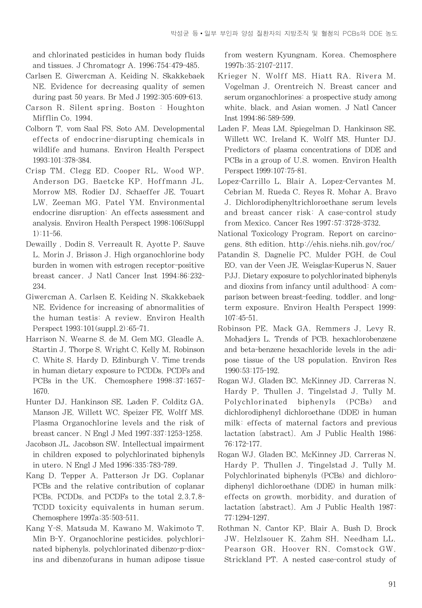and chlorinated pesticides in human body fluids and tissues. J Chromatogr A. 1996;754:479-485.

- Carlsen E, Giwercman A, Keiding N, Skakkebaek NE. Evidence for decreasing quality of semen during past 50 years. Br Med J 1992;305:609-613.
- Carson R. Silent spring. Boston : Houghton Mifflin Co, 1994.
- Colborn T, vom Saal FS, Soto AM. Developmental effects of endocrine-disrupting chemicals in wildlife and humans. Environ Health Perspect 1993;101:378-384.
- Crisp TM, Clegg ED, Cooper RL, Wood WP, Anderson DG, Baetcke KP, Hoffmann JL, Morrow MS, Rodier DJ, Schaeffer JE, Touart LW, Zeeman MG, Patel YM. Environmental endocrine disruption: An effects assessment and analysis. Environ Health Perspect 1998;106(Suppl 1):11-56.
- Dewailly , Dodin S, Verreault R, Ayotte P, Sauve L, Morin J, Brisson J. High organochlorine body burden in women with estrogen receptor-positive breast cancer. J Natl Cancer Inst 1994;86:232- 234.
- Giwercman A, Carlsen E, Keiding N, Skakkebaek NE. Evidence for increasing of abnormalities of the human testis: A review. Environ Health Perspect 1993;101(suppl.2):65-71.
- Harrison N, Wearne S, de M. Gem MG, Gleadle A, Startin J, Thorpe S, Wright C, Kelly M, Robinson C, White S, Hardy D, Edinburgh V. Time trends in human dietary exposure to PCDDs, PCDFs and PCBs in the UK. Chemosphere 1998;37:1657- 1670.
- Hunter DJ, Hankinson SE, Laden F, Colditz GA, Manson JE, Willett WC, Speizer FE, Wolff MS. Plasma Organochlorine levels and the risk of breast cancer. N Engl J Med 1997;337:1253-1258.
- Jacobson JL, Jacobson SW. Intellectual impairment in children exposed to polychlorinated biphenyls in utero. N Engl J Med 1996;335:783-789.
- Kang D, Tepper A, Patterson Jr DG. Coplanar PCBs and the relative contribution of coplanar PCBs, PCDDs, and PCDFs to the total 2,3,7,8- TCDD toxicity equivalents in human serum. Chemosphere 1997a;35:503-511.
- Kang Y-S, Matsuda M, Kawano M, Wakimoto T, Min B-Y. Organochlorine pesticides, polychlorinated biphenyls, polychlorinated dibenzo-p-dioxins and dibenzofurans in human adipose tissue

from western Kyungnam, Korea. Chemosphere 1997b;35:2107-2117.

- Krieger N, Wolff MS, Hiatt RA, Rivera M, Vogelman J, Orentreich N. Breast cancer and serum organochlorines: a prospective study among white, black, and Asian women. J Natl Cancer Inst 1994;86:589-599.
- Laden F, Meas LM, Spiegelman D, Hankinson SE, Willett WC, Ireland K, Wolff MS, Hunter DJ. Predictors of plasma concentrations of DDE and PCBs in a group of U.S. women. Environ Health Perspect 1999;107:75-81.
- Lopez-Carrillo L, Blair A, Lopez-Cervantes M, Cebrian M, Rueda C, Reyes R, Mohar A, Bravo J. Dichlorodiphenyltrichloroethane serum levels and breast cancer risk: A case-control study from Mexico. Cancer Res 1997;57:3728-3732.
- National Toxicology Program. Report on carcinogens, 8th edition, http://ehis.niehs.nih.gov/roc/
- Patandin S, Dagnelie PC, Mulder PGH, de Coul EO, van der Veen JE, Weisglas-Kuperus N, Sauer PJJ. Dietary exposure to polychlorinated biphenyls and dioxins from infancy until adulthood: A comparison between breast-feeding, toddler, and longterm exposure. Environ Health Perspect 1999; 107:45-51.
- Robinson PE, Mack GA, Remmers J, Levy R, Mohadjers L. Trends of PCB, hexachlorobenzene and beta-benzene hexachloride levels in the adipose tissue of the US population. Environ Res 1990;53:175-192.
- Rogan WJ, Gladen BC, McKinney JD, Carreras N, Hardy P, Thullen J, Tingelstad J, Tully M. Polychlorinated biphenyls (PCBs) and dichlorodiphenyl dichloroethane (DDE) in human milk: effects of maternal factors and previous lactation [abstract]. Am J Public Health 1986; 76:172-177.
- Rogan WJ, Gladen BC, McKinney JD, Carreras N, Hardy P, Thullen J, Tingelstad J, Tully M. Polychlorinated biphenyls (PCBs) and dichlorodiphenyl dichloroethane (DDE) in human milk: effects on growth, morbidity, and duration of lactation [abstract]. Am J Public Health 1987; 77:1294-1297.
- Rothman N, Cantor KP, Blair A, Bush D, Brock JW, Helzlsouer K, Zahm SH, Needham LL, Pearson GR, Hoover RN, Comstock GW, Strickland PT. A nested case-control study of